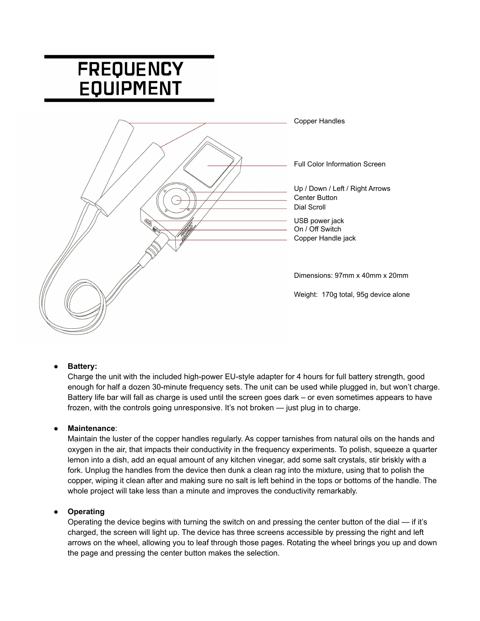# **FREQUENCY EQUIPMENT**



# **● Battery:**

Charge the unit with the included high-power EU-style adapter for 4 hours for full battery strength, good enough for half a dozen 30-minute frequency sets. The unit can be used while plugged in, but won't charge. Battery life bar will fall as charge is used until the screen goes dark – or even sometimes appears to have frozen, with the controls going unresponsive. It's not broken — just plug in to charge.

# ● **Maintenance**:

Maintain the luster of the copper handles regularly. As copper tarnishes from natural oils on the hands and oxygen in the air, that impacts their conductivity in the frequency experiments. To polish, squeeze a quarter lemon into a dish, add an equal amount of any kitchen vinegar, add some salt crystals, stir briskly with a fork. Unplug the handles from the device then dunk a clean rag into the mixture, using that to polish the copper, wiping it clean after and making sure no salt is left behind in the tops or bottoms of the handle. The whole project will take less than a minute and improves the conductivity remarkably.

# **● Operating**

Operating the device begins with turning the switch on and pressing the center button of the dial — if it's charged, the screen will light up. The device has three screens accessible by pressing the right and left arrows on the wheel, allowing you to leaf through those pages. Rotating the wheel brings you up and down the page and pressing the center button makes the selection.